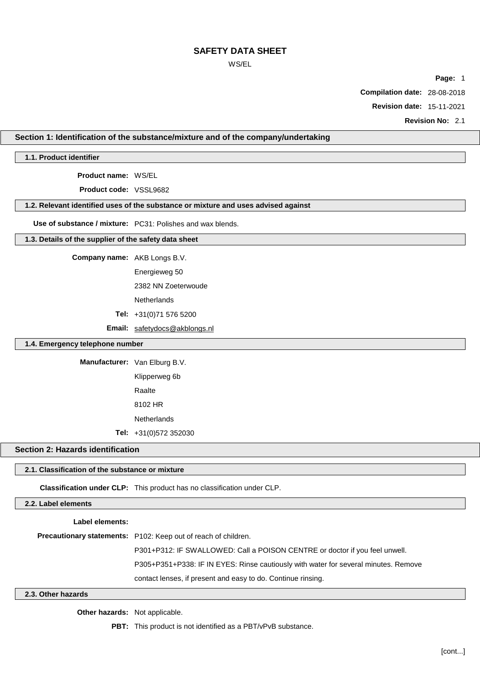## WS/EL

**Page:** 1

**Compilation date:** 28-08-2018

**Revision date:** 15-11-2021

**Revision No:** 2.1

## **Section 1: Identification of the substance/mixture and of the company/undertaking**

**1.1. Product identifier**

**Product name:** WS/EL

**Product code:** VSSL9682

#### **1.2. Relevant identified uses of the substance or mixture and uses advised against**

**Use of substance / mixture:** PC31: Polishes and wax blends.

#### **1.3. Details of the supplier of the safety data sheet**

**Company name:** AKB Longs B.V.

Energieweg 50

2382 NN Zoeterwoude

**Netherlands** 

**Tel:** +31(0)71 576 5200

**Email:** [safetydocs@akblongs.nl](mailto:safetydocs@akblongs.nl)

#### **1.4. Emergency telephone number**

**Manufacturer:** Van Elburg B.V.

Klipperweg 6b Raalte 8102 HR **Netherlands** 

**Tel:** +31(0)572 352030

# **Section 2: Hazards identification**

# **2.1. Classification of the substance or mixture**

**Classification under CLP:** This product has no classification under CLP.

## **2.2. Label elements**

#### **Label elements:**

**Precautionary statements:** P102: Keep out of reach of children.

P301+P312: IF SWALLOWED: Call a POISON CENTRE or doctor if you feel unwell.

P305+P351+P338: IF IN EYES: Rinse cautiously with water for several minutes. Remove

contact lenses, if present and easy to do. Continue rinsing.

#### **2.3. Other hazards**

**Other hazards:** Not applicable.

**PBT:** This product is not identified as a PBT/vPvB substance.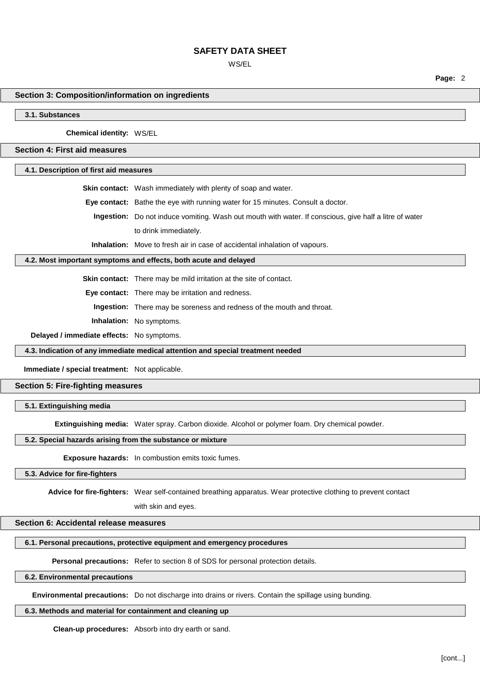WS/EL

**Page:** 2

# **Section 3: Composition/information on ingredients**

**3.1. Substances**

**Chemical identity:** WS/EL

**Section 4: First aid measures**

**4.1. Description of first aid measures**

**Skin contact:** Wash immediately with plenty of soap and water.

**Eye contact:** Bathe the eye with running water for 15 minutes. Consult a doctor.

**Ingestion:** Do not induce vomiting. Wash out mouth with water. If conscious, give half a litre of water to drink immediately.

**Inhalation:** Move to fresh air in case of accidental inhalation of vapours.

## **4.2. Most important symptoms and effects, both acute and delayed**

**Skin contact:** There may be mild irritation at the site of contact.

**Eye contact:** There may be irritation and redness.

**Ingestion:** There may be soreness and redness of the mouth and throat.

**Inhalation:** No symptoms.

**Delayed / immediate effects:** No symptoms.

**4.3. Indication of any immediate medical attention and special treatment needed**

**Immediate / special treatment:** Not applicable.

# **Section 5: Fire-fighting measures**

#### **5.1. Extinguishing media**

**Extinguishing media:** Water spray. Carbon dioxide. Alcohol or polymer foam. Dry chemical powder.

#### **5.2. Special hazards arising from the substance or mixture**

**Exposure hazards:** In combustion emits toxic fumes.

## **5.3. Advice for fire-fighters**

**Advice for fire-fighters:** Wear self-contained breathing apparatus. Wear protective clothing to prevent contact

with skin and eyes.

#### **Section 6: Accidental release measures**

#### **6.1. Personal precautions, protective equipment and emergency procedures**

**Personal precautions:** Refer to section 8 of SDS for personal protection details.

#### **6.2. Environmental precautions**

**Environmental precautions:** Do not discharge into drains or rivers. Contain the spillage using bunding.

## **6.3. Methods and material for containment and cleaning up**

**Clean-up procedures:** Absorb into dry earth or sand.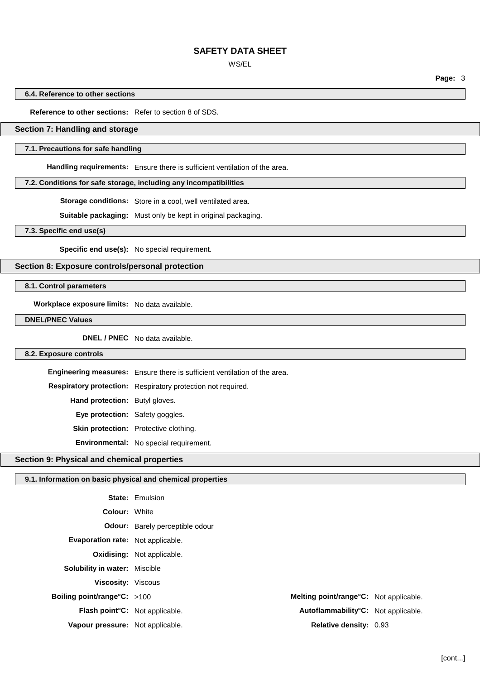WS/EL

**Page:** 3

## **6.4. Reference to other sections**

## **Reference to other sections:** Refer to section 8 of SDS.

## **Section 7: Handling and storage**

#### **7.1. Precautions for safe handling**

**Handling requirements:** Ensure there is sufficient ventilation of the area.

## **7.2. Conditions for safe storage, including any incompatibilities**

**Storage conditions:** Store in a cool, well ventilated area.

**Suitable packaging:** Must only be kept in original packaging.

#### **7.3. Specific end use(s)**

**Specific end use(s):** No special requirement.

#### **Section 8: Exposure controls/personal protection**

**8.1. Control parameters**

**Workplace exposure limits:** No data available.

**DNEL/PNEC Values**

**DNEL / PNEC** No data available.

## **8.2. Exposure controls**

**Engineering measures:** Ensure there is sufficient ventilation of the area. **Respiratory protection:** Respiratory protection not required. **Hand protection:** Butyl gloves. **Eye protection:** Safety goggles. **Skin protection:** Protective clothing. **Environmental:** No special requirement.

# **Section 9: Physical and chemical properties**

#### **9.1. Information on basic physical and chemical properties**

|                                       | <b>State: Emulsion</b>                 |                                        |  |
|---------------------------------------|----------------------------------------|----------------------------------------|--|
| <b>Colour: White</b>                  |                                        |                                        |  |
|                                       | <b>Odour:</b> Barely perceptible odour |                                        |  |
| Evaporation rate: Not applicable.     |                                        |                                        |  |
|                                       | <b>Oxidising:</b> Not applicable.      |                                        |  |
| <b>Solubility in water: Miscible</b>  |                                        |                                        |  |
| <b>Viscosity:</b> Viscous             |                                        |                                        |  |
| Boiling point/range $C: >100$         |                                        | Melting point/range°C: Not applicable. |  |
| <b>Flash point C:</b> Not applicable. |                                        | Autoflammability°C: Not applicable.    |  |
| Vapour pressure: Not applicable.      |                                        | <b>Relative density: 0.93</b>          |  |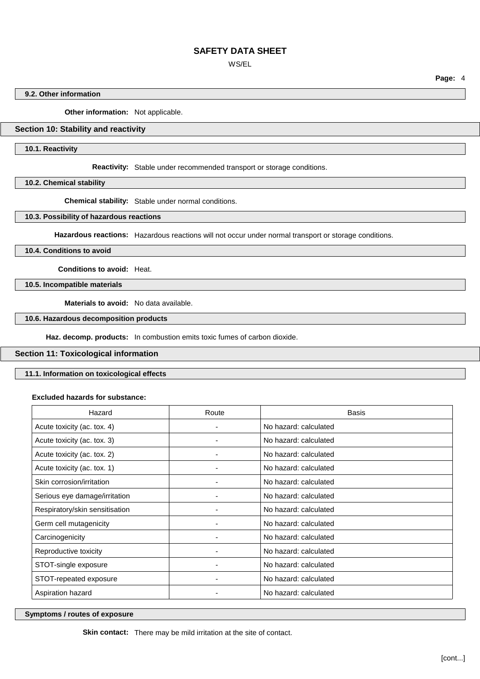WS/EL

**Page:** 4

# **9.2. Other information**

**Other information:** Not applicable.

# **Section 10: Stability and reactivity**

**10.1. Reactivity**

**Reactivity:** Stable under recommended transport or storage conditions.

**10.2. Chemical stability**

**Chemical stability:** Stable under normal conditions.

# **10.3. Possibility of hazardous reactions**

**Hazardous reactions:** Hazardous reactions will not occur under normal transport or storage conditions.

**10.4. Conditions to avoid**

**Conditions to avoid:** Heat.

**10.5. Incompatible materials**

**Materials to avoid:** No data available.

#### **10.6. Hazardous decomposition products**

**Haz. decomp. products:** In combustion emits toxic fumes of carbon dioxide.

#### **Section 11: Toxicological information**

**11.1. Information on toxicological effects**

#### **Excluded hazards for substance:**

| Hazard                         | Route | <b>Basis</b>          |
|--------------------------------|-------|-----------------------|
| Acute toxicity (ac. tox. 4)    | ۰     | No hazard: calculated |
| Acute toxicity (ac. tox. 3)    |       | No hazard: calculated |
| Acute toxicity (ac. tox. 2)    |       | No hazard: calculated |
| Acute toxicity (ac. tox. 1)    |       | No hazard: calculated |
| Skin corrosion/irritation      |       | No hazard: calculated |
| Serious eye damage/irritation  |       | No hazard: calculated |
| Respiratory/skin sensitisation |       | No hazard: calculated |
| Germ cell mutagenicity         |       | No hazard: calculated |
| Carcinogenicity                |       | No hazard: calculated |
| Reproductive toxicity          |       | No hazard: calculated |
| STOT-single exposure           |       | No hazard: calculated |
| STOT-repeated exposure         |       | No hazard: calculated |
| Aspiration hazard              |       | No hazard: calculated |

# **Symptoms / routes of exposure**

**Skin contact:** There may be mild irritation at the site of contact.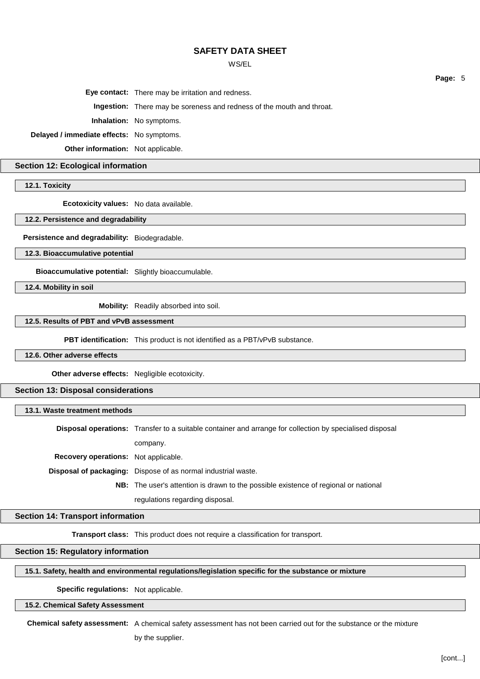## WS/EL

**Page:** 5

**Eye contact:** There may be irritation and redness.

**Ingestion:** There may be soreness and redness of the mouth and throat.

**Inhalation:** No symptoms.

**Delayed / immediate effects:** No symptoms.

**Other information:** Not applicable.

**Section 12: Ecological information**

**12.1. Toxicity**

**Ecotoxicity values:** No data available.

**12.2. Persistence and degradability**

**Persistence and degradability:** Biodegradable.

**12.3. Bioaccumulative potential**

**Bioaccumulative potential:** Slightly bioaccumulable.

**12.4. Mobility in soil**

**Mobility:** Readily absorbed into soil.

**12.5. Results of PBT and vPvB assessment**

**PBT identification:** This product is not identified as a PBT/vPvB substance.

**12.6. Other adverse effects**

**Other adverse effects:** Negligible ecotoxicity.

**Section 13: Disposal considerations**

**13.1. Waste treatment methods**

**Disposal operations:** Transfer to a suitable container and arrange for collection by specialised disposal company. **Recovery operations:** Not applicable. **Disposal of packaging:** Dispose of as normal industrial waste. **NB:** The user's attention is drawn to the possible existence of regional or national regulations regarding disposal.

# **Section 14: Transport information**

**Transport class:** This product does not require a classification for transport.

**Section 15: Regulatory information**

**15.1. Safety, health and environmental regulations/legislation specific for the substance or mixture**

**Specific regulations:** Not applicable.

**15.2. Chemical Safety Assessment**

**Chemical safety assessment:** A chemical safety assessment has not been carried out for the substance or the mixture